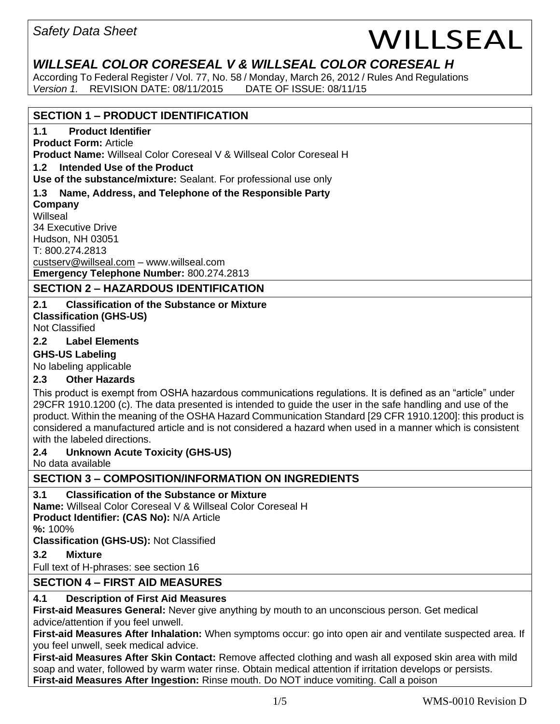# *WILLSEAL COLOR CORESEAL V & WILLSEAL COLOR CORESEAL H*

According To Federal Register / Vol. 77, No. 58 / Monday, March 26, 2012 / Rules And Regulations *Version 1.* REVISION DATE: 08/11/2015 DATE OF ISSUE: 08/11/15

# **SECTION 1 – PRODUCT IDENTIFICATION**

# **1.1 Product Identifier**

**Product Form:** Article **Product Name:** Willseal Color Coreseal V & Willseal Color Coreseal H

#### **1.2 Intended Use of the Product**

**Use of the substance/mixture:** Sealant. For professional use only

## **1.3 Name, Address, and Telephone of the Responsible Party**

**Company** Willseal

34 Executive Drive Hudson, NH 03051 T: 800.274.2813 [custserv@willseal.com](mailto:custserv@willseal.com) – [www.willseal.com](http://www.willseal.com/)

**Emergency Telephone Number:** 800.274.2813

# **SECTION 2 – HAZARDOUS IDENTIFICATION**

#### **2.1 Classification of the Substance or Mixture Classification (GHS-US)**

Not Classified

## **2.2 Label Elements**

### **GHS-US Labeling**

No labeling applicable

# **2.3 Other Hazards**

This product is exempt from OSHA hazardous communications regulations. It is defined as an "article" under 29CFR 1910.1200 (c). The data presented is intended to guide the user in the safe handling and use of the product. Within the meaning of the OSHA Hazard Communication Standard [29 CFR 1910.1200]: this product is considered a manufactured article and is not considered a hazard when used in a manner which is consistent with the labeled directions.

### **2.4 Unknown Acute Toxicity (GHS-US)**

No data available

# **SECTION 3 – COMPOSITION/INFORMATION ON INGREDIENTS**

# **3.1 Classification of the Substance or Mixture**

**Name:** Willseal Color Coreseal V & Willseal Color Coreseal H **Product Identifier: (CAS No):** N/A Article

**%:** 100%

**Classification (GHS-US):** Not Classified

# **3.2 Mixture**

Full text of H-phrases: see section 16

# **SECTION 4 – FIRST AID MEASURES**

# **4.1 Description of First Aid Measures**

**First-aid Measures General:** Never give anything by mouth to an unconscious person. Get medical advice/attention if you feel unwell.

**First-aid Measures After Inhalation:** When symptoms occur: go into open air and ventilate suspected area. If you feel unwell, seek medical advice.

**First-aid Measures After Skin Contact:** Remove affected clothing and wash all exposed skin area with mild soap and water, followed by warm water rinse. Obtain medical attention if irritation develops or persists. **First-aid Measures After Ingestion:** Rinse mouth. Do NOT induce vomiting. Call a poison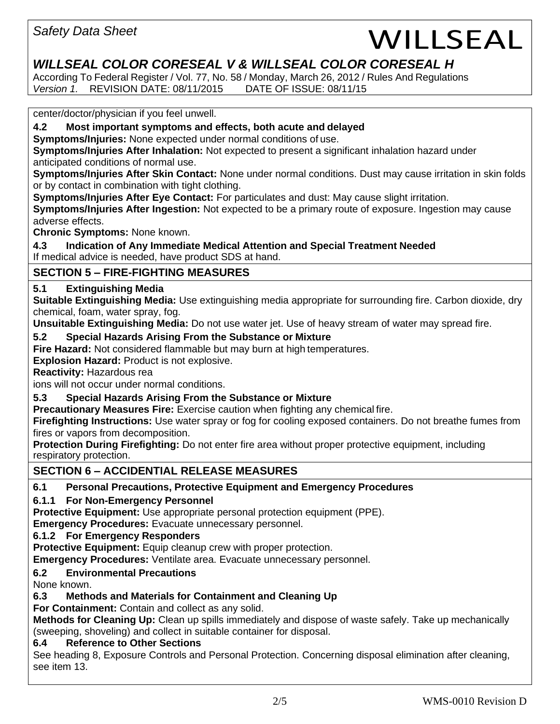# *WILLSEAL COLOR CORESEAL V & WILLSEAL COLOR CORESEAL H*

According To Federal Register / Vol. 77, No. 58 / Monday, March 26, 2012 / Rules And Regulations *Version 1.* REVISION DATE: 08/11/2015 DATE OF ISSUE: 08/11/15

center/doctor/physician if you feel unwell.

**4.2 Most important symptoms and effects, both acute and delayed** 

**Symptoms/Injuries:** None expected under normal conditions of use.

**Symptoms/Injuries After Inhalation:** Not expected to present a significant inhalation hazard under anticipated conditions of normal use.

**Symptoms/Injuries After Skin Contact:** None under normal conditions. Dust may cause irritation in skin folds or by contact in combination with tight clothing.

**Symptoms/Injuries After Eye Contact:** For particulates and dust: May cause slight irritation.

**Symptoms/Injuries After Ingestion:** Not expected to be a primary route of exposure. Ingestion may cause adverse effects.

**Chronic Symptoms:** None known.

**4.3 Indication of Any Immediate Medical Attention and Special Treatment Needed** If medical advice is needed, have product SDS at hand.

# **SECTION 5 – FIRE-FIGHTING MEASURES**

# **5.1 Extinguishing Media**

**Suitable Extinguishing Media:** Use extinguishing media appropriate for surrounding fire. Carbon dioxide, dry chemical, foam, water spray, fog.

**Unsuitable Extinguishing Media:** Do not use water jet. Use of heavy stream of water may spread fire.

# **5.2 Special Hazards Arising From the Substance or Mixture**

**Fire Hazard:** Not considered flammable but may burn at high temperatures.

**Explosion Hazard:** Product is not explosive.

**Reactivity:** Hazardous rea

ions will not occur under normal conditions.

# **5.3 Special Hazards Arising From the Substance or Mixture**

**Precautionary Measures Fire:** Exercise caution when fighting any chemical fire.

**Firefighting Instructions:** Use water spray or fog for cooling exposed containers. Do not breathe fumes from fires or vapors from decomposition.

**Protection During Firefighting:** Do not enter fire area without proper protective equipment, including respiratory protection.

# **SECTION 6 – ACCIDENTIAL RELEASE MEASURES**

# **6.1 Personal Precautions, Protective Equipment and Emergency Procedures**

# **6.1.1 For Non-Emergency Personnel**

**Protective Equipment:** Use appropriate personal protection equipment (PPE).

**Emergency Procedures:** Evacuate unnecessary personnel.

# **6.1.2 For Emergency Responders**

**Protective Equipment:** Equip cleanup crew with proper protection.

**Emergency Procedures:** Ventilate area. Evacuate unnecessary personnel.

# **6.2 Environmental Precautions**

None known.

# **6.3 Methods and Materials for Containment and Cleaning Up**

**For Containment:** Contain and collect as any solid.

**Methods for Cleaning Up:** Clean up spills immediately and dispose of waste safely. Take up mechanically (sweeping, shoveling) and collect in suitable container for disposal.

# **6.4 Reference to Other Sections**

See heading 8, Exposure Controls and Personal Protection. Concerning disposal elimination after cleaning, see item 13.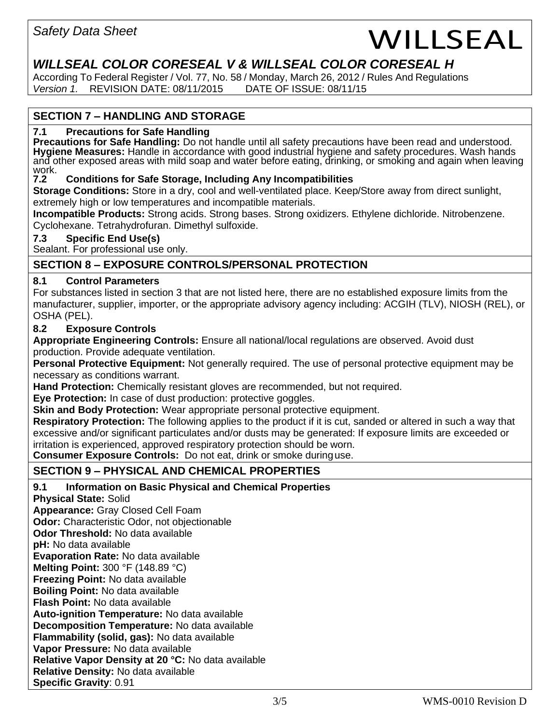# *WILLSEAL COLOR CORESEAL V & WILLSEAL COLOR CORESEAL H*

According To Federal Register / Vol. 77, No. 58 / Monday, March 26, 2012 / Rules And Regulations *Version 1.* REVISION DATE: 08/11/2015 DATE OF ISSUE: 08/11/15

# **SECTION 7 – HANDLING AND STORAGE**

#### **7.1 Precautions for Safe Handling**

**Precautions for Safe Handling:** Do not handle until all safety precautions have been read and understood. **Hygiene Measures:** Handle in accordance with good industrial hygiene and safety procedures. Wash hands and other exposed areas with mild soap and water before eating, drinking, or smoking and again when leaving work.<br>7.2

#### **7.2 Conditions for Safe Storage, Including Any Incompatibilities**

**Storage Conditions:** Store in a dry, cool and well-ventilated place. Keep/Store away from direct sunlight, extremely high or low temperatures and incompatible materials.

**Incompatible Products:** Strong acids. Strong bases. Strong oxidizers. Ethylene dichloride. Nitrobenzene. Cyclohexane. Tetrahydrofuran. Dimethyl sulfoxide.

#### **7.3 Specific End Use(s)**

Sealant. For professional use only.

# **SECTION 8 – EXPOSURE CONTROLS/PERSONAL PROTECTION**

#### **8.1 Control Parameters**

For substances listed in section 3 that are not listed here, there are no established exposure limits from the manufacturer, supplier, importer, or the appropriate advisory agency including: ACGIH (TLV), NIOSH (REL), or OSHA (PEL).

#### **8.2 Exposure Controls**

**Appropriate Engineering Controls:** Ensure all national/local regulations are observed. Avoid dust production. Provide adequate ventilation.

**Personal Protective Equipment:** Not generally required. The use of personal protective equipment may be necessary as conditions warrant.

**Hand Protection:** Chemically resistant gloves are recommended, but not required.

**Eye Protection:** In case of dust production: protective goggles.

**Skin and Body Protection:** Wear appropriate personal protective equipment.

**Respiratory Protection:** The following applies to the product if it is cut, sanded or altered in such a way that excessive and/or significant particulates and/or dusts may be generated: If exposure limits are exceeded or irritation is experienced, approved respiratory protection should be worn.

**Consumer Exposure Controls:** Do not eat, drink or smoke duringuse.

# **SECTION 9 – PHYSICAL AND CHEMICAL PROPERTIES**

### **9.1 Information on Basic Physical and Chemical Properties**

**Physical State:** Solid

**Appearance:** Gray Closed Cell Foam

**Odor:** Characteristic Odor, not objectionable

**Odor Threshold:** No data available

**pH:** No data available

**Evaporation Rate:** No data available

**Melting Point:** 300 °F (148.89 °C)

**Freezing Point:** No data available

**Boiling Point:** No data available

**Flash Point:** No data available

**Auto-ignition Temperature:** No data available

**Decomposition Temperature:** No data available

**Flammability (solid, gas):** No data available

**Vapor Pressure:** No data available

**Relative Vapor Density at 20 °C:** No data available

**Relative Density:** No data available **Specific Gravity**: 0.91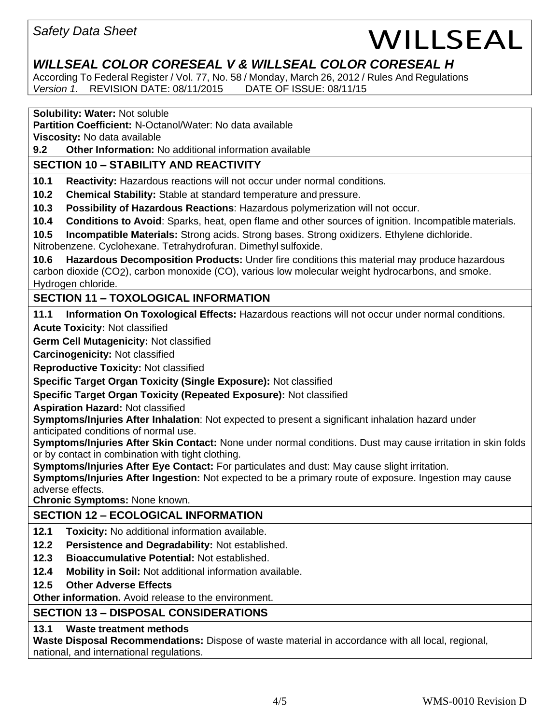# *WILLSEAL COLOR CORESEAL V & WILLSEAL COLOR CORESEAL H*

According To Federal Register / Vol. 77, No. 58 / Monday, March 26, 2012 / Rules And Regulations *Version 1.* REVISION DATE: 08/11/2015 DATE OF ISSUE: 08/11/15

#### **Solubility: Water:** Not soluble

**Partition Coefficient:** N-Octanol/Water: No data available

**Viscosity:** No data available

**9.2 Other Information:** No additional information available

# **SECTION 10 – STABILITY AND REACTIVITY**

**10.1 Reactivity:** Hazardous reactions will not occur under normal conditions.

**10.2 Chemical Stability:** Stable at standard temperature and pressure.

**10.3 Possibility of Hazardous Reactions**: Hazardous polymerization will not occur.

**10.4 Conditions to Avoid**: Sparks, heat, open flame and other sources of ignition. Incompatible materials.

**10.5 Incompatible Materials:** Strong acids. Strong bases. Strong oxidizers. Ethylene dichloride.

Nitrobenzene. Cyclohexane. Tetrahydrofuran. Dimethyl sulfoxide.

**10.6 Hazardous Decomposition Products:** Under fire conditions this material may produce hazardous carbon dioxide (CO2), carbon monoxide (CO), various low molecular weight hydrocarbons, and smoke. Hydrogen chloride.

# **SECTION 11 – TOXOLOGICAL INFORMATION**

**11.1 Information On Toxological Effects:** Hazardous reactions will not occur under normal conditions.

**Acute Toxicity:** Not classified

**Germ Cell Mutagenicity:** Not classified

**Carcinogenicity:** Not classified

**Reproductive Toxicity:** Not classified

**Specific Target Organ Toxicity (Single Exposure):** Not classified

**Specific Target Organ Toxicity (Repeated Exposure):** Not classified

**Aspiration Hazard:** Not classified

**Symptoms/Injuries After Inhalation**: Not expected to present a significant inhalation hazard under anticipated conditions of normal use.

**Symptoms/Injuries After Skin Contact:** None under normal conditions. Dust may cause irritation in skin folds or by contact in combination with tight clothing.

**Symptoms/Injuries After Eye Contact:** For particulates and dust: May cause slight irritation.

**Symptoms/Injuries After Ingestion:** Not expected to be a primary route of exposure. Ingestion may cause adverse effects.

**Chronic Symptoms:** None known.

# **SECTION 12 – ECOLOGICAL INFORMATION**

- **12.1 Toxicity:** No additional information available.
- **12.2 Persistence and Degradability:** Not established.
- **12.3 Bioaccumulative Potential:** Not established.
- **12.4 Mobility in Soil:** Not additional information available.
- **12.5 Other Adverse Effects**

**Other information.** Avoid release to the environment.

### **SECTION 13 – DISPOSAL CONSIDERATIONS**

### **13.1 Waste treatment methods**

**Waste Disposal Recommendations:** Dispose of waste material in accordance with all local, regional, national, and international regulations.